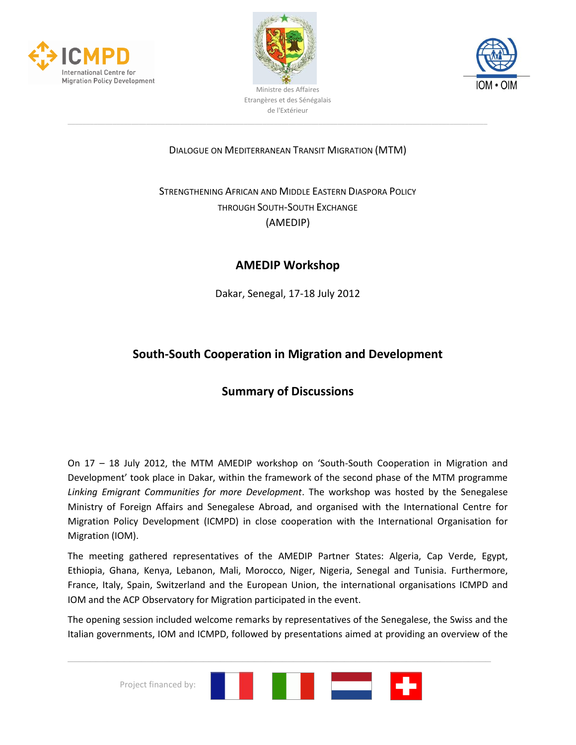





### DIALOGUE ON MEDITERRANEAN TRANSIT MIGRATION (MTM)

# STRENGTHENING AFRICAN AND MIDDLE EASTERN DIASPORA POLICY THROUGH SOUTH-SOUTH EXCHANGE (AMEDIP)

## **AMEDIP Workshop**

Dakar, Senegal, 17-18 July 2012

# **South-South Cooperation in Migration and Development**

# **Summary of Discussions**

On 17 – 18 July 2012, the MTM AMEDIP workshop on 'South-South Cooperation in Migration and Development' took place in Dakar, within the framework of the second phase of the MTM programme *Linking Emigrant Communities for more Development*. The workshop was hosted by the Senegalese Ministry of Foreign Affairs and Senegalese Abroad, and organised with the International Centre for Migration Policy Development (ICMPD) in close cooperation with the International Organisation for Migration (IOM).

The meeting gathered representatives of the AMEDIP Partner States: Algeria, Cap Verde, Egypt, Ethiopia, Ghana, Kenya, Lebanon, Mali, Morocco, Niger, Nigeria, Senegal and Tunisia. Furthermore, France, Italy, Spain, Switzerland and the European Union, the international organisations ICMPD and IOM and the ACP Observatory for Migration participated in the event.

The opening session included welcome remarks by representatives of the Senegalese, the Swiss and the Italian governments, IOM and ICMPD, followed by presentations aimed at providing an overview of the

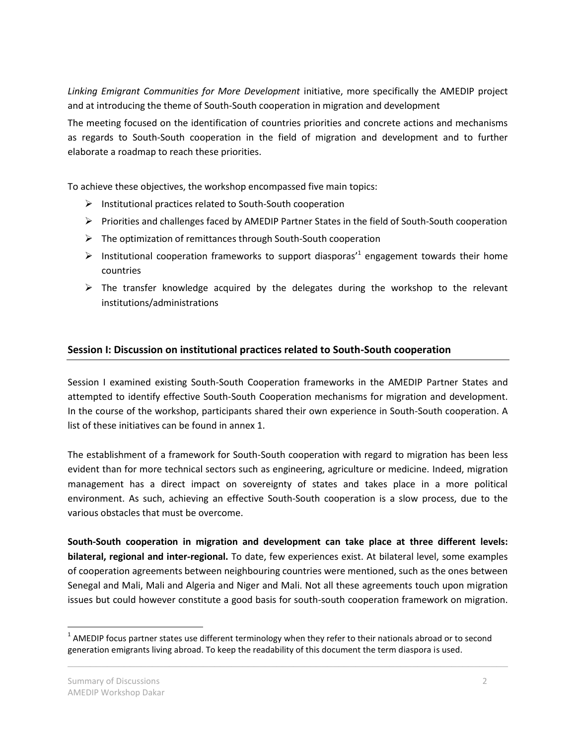*Linking Emigrant Communities for More Development* initiative, more specifically the AMEDIP project and at introducing the theme of South-South cooperation in migration and development

The meeting focused on the identification of countries priorities and concrete actions and mechanisms as regards to South-South cooperation in the field of migration and development and to further elaborate a roadmap to reach these priorities.

To achieve these objectives, the workshop encompassed five main topics:

- $\triangleright$  Institutional practices related to South-South cooperation
- $\triangleright$  Priorities and challenges faced by AMEDIP Partner States in the field of South-South cooperation
- $\triangleright$  The optimization of remittances through South-South cooperation
- $\triangleright$  Institutional cooperation frameworks to support diasporas<sup>1</sup> engagement towards their home countries
- $\triangleright$  The transfer knowledge acquired by the delegates during the workshop to the relevant institutions/administrations

### **Session I: Discussion on institutional practices related to South-South cooperation**

Session I examined existing South-South Cooperation frameworks in the AMEDIP Partner States and attempted to identify effective South-South Cooperation mechanisms for migration and development. In the course of the workshop, participants shared their own experience in South-South cooperation. A list of these initiatives can be found in annex 1.

The establishment of a framework for South-South cooperation with regard to migration has been less evident than for more technical sectors such as engineering, agriculture or medicine. Indeed, migration management has a direct impact on sovereignty of states and takes place in a more political environment. As such, achieving an effective South-South cooperation is a slow process, due to the various obstacles that must be overcome.

**South-South cooperation in migration and development can take place at three different levels: bilateral, regional and inter-regional.** To date, few experiences exist. At bilateral level, some examples of cooperation agreements between neighbouring countries were mentioned, such as the ones between Senegal and Mali, Mali and Algeria and Niger and Mali. Not all these agreements touch upon migration issues but could however constitute a good basis for south-south cooperation framework on migration.

 $\_$  , and the contribution of the contribution of the contribution of the contribution of  $\mathcal{L}_\text{max}$ 

 $\overline{a}$ 

 $1$  AMEDIP focus partner states use different terminology when they refer to their nationals abroad or to second generation emigrants living abroad. To keep the readability of this document the term diaspora is used.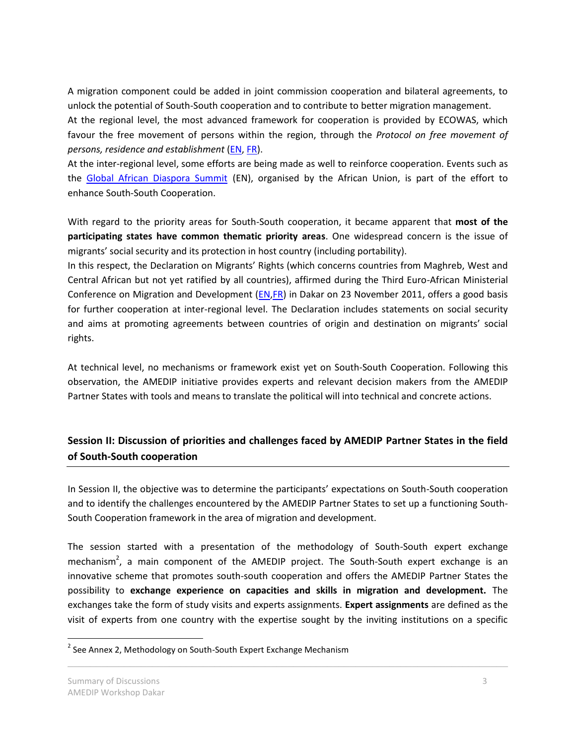A migration component could be added in joint commission cooperation and bilateral agreements, to unlock the potential of South-South cooperation and to contribute to better migration management. At the regional level, the most advanced framework for cooperation is provided by ECOWAS, which favour the free movement of persons within the region, through the *Protocol on free movement of persons, residence and establishment* [\(EN,](http://www.comm.ecowas.int/sec/index.php?id=ap010579&lang=en) [FR\)](http://www.comm.ecowas.int/sec/index.php?id=ap010579&lang=fr).

At the inter-regional level, some efforts are being made as well to reinforce cooperation. Events such as the [Global African Diaspora Summit](http://www.globaldiasporasummit.org/) (EN), organised by the African Union, is part of the effort to enhance South-South Cooperation.

With regard to the priority areas for South-South cooperation, it became apparent that **most of the participating states have common thematic priority areas**. One widespread concern is the issue of migrants' social security and its protection in host country (including portability).

In this respect, the Declaration on Migrants' Rights (which concerns countries from Maghreb, West and Central African but not yet ratified by all countries), affirmed during the Third Euro-African Ministerial Conference on Migration and Development [\(EN,](http://ec.europa.eu/home-affairs/news/intro/docs/Dakar%20strategy_%20Ministerial%20declaration%20migration%20and%20development_%20EN.PDF)[FR\)](http://ec.europa.eu/dgs/home-affairs/what-is-new/news/pdf/dakar_strategy_ministerial_declaration_migration_and_development_fr.pdf) in Dakar on 23 November 2011, offers a good basis for further cooperation at inter-regional level. The Declaration includes statements on social security and aims at promoting agreements between countries of origin and destination on migrants' social rights.

At technical level, no mechanisms or framework exist yet on South-South Cooperation. Following this observation, the AMEDIP initiative provides experts and relevant decision makers from the AMEDIP Partner States with tools and means to translate the political will into technical and concrete actions.

### **Session II: Discussion of priorities and challenges faced by AMEDIP Partner States in the field of South-South cooperation**

In Session II, the objective was to determine the participants' expectations on South-South cooperation and to identify the challenges encountered by the AMEDIP Partner States to set up a functioning South-South Cooperation framework in the area of migration and development.

The session started with a presentation of the methodology of South-South expert exchange mechanism<sup>2</sup>, a main component of the AMEDIP project. The South-South expert exchange is an innovative scheme that promotes south-south cooperation and offers the AMEDIP Partner States the possibility to **exchange experience on capacities and skills in migration and development.** The exchanges take the form of study visits and experts assignments. **Expert assignments** are defined as the visit of experts from one country with the expertise sought by the inviting institutions on a specific

 $\_$  , and the contribution of the contribution of the contribution of the contribution of  $\mathcal{L}_\text{max}$ 

 $\overline{a}$ 

<sup>&</sup>lt;sup>2</sup> See Annex 2, Methodology on South-South Expert Exchange Mechanism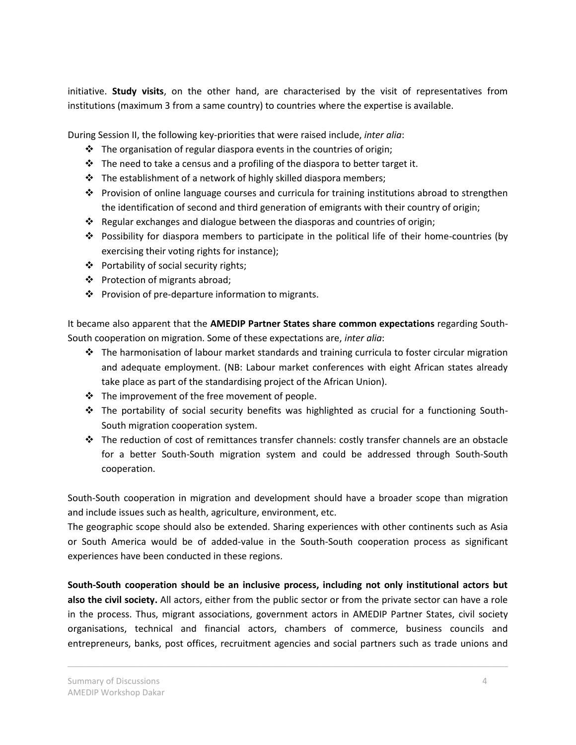initiative. **Study visits**, on the other hand, are characterised by the visit of representatives from institutions (maximum 3 from a same country) to countries where the expertise is available.

During Session II, the following key-priorities that were raised include, *inter alia*:

- $\cdot \cdot$  The organisation of regular diaspora events in the countries of origin;
- $\cdot \cdot$  The need to take a census and a profiling of the diaspora to better target it.
- $\cdot \cdot$  The establishment of a network of highly skilled diaspora members;
- Provision of online language courses and curricula for training institutions abroad to strengthen the identification of second and third generation of emigrants with their country of origin;
- \* Regular exchanges and dialogue between the diasporas and countries of origin;
- Possibility for diaspora members to participate in the political life of their home-countries (by exercising their voting rights for instance);
- Portability of social security rights;
- ❖ Protection of migrants abroad;
- ❖ Provision of pre-departure information to migrants.

It became also apparent that the **AMEDIP Partner States share common expectations** regarding South-South cooperation on migration. Some of these expectations are, *inter alia*:

- $\cdot \cdot$  The harmonisation of labour market standards and training curricula to foster circular migration and adequate employment. (NB: Labour market conferences with eight African states already take place as part of the standardising project of the African Union).
- \* The improvement of the free movement of people.
- $\div$  The portability of social security benefits was highlighted as crucial for a functioning South-South migration cooperation system.
- $\div$  The reduction of cost of remittances transfer channels: costly transfer channels are an obstacle for a better South-South migration system and could be addressed through South-South cooperation.

South-South cooperation in migration and development should have a broader scope than migration and include issues such as health, agriculture, environment, etc.

The geographic scope should also be extended. Sharing experiences with other continents such as Asia or South America would be of added-value in the South-South cooperation process as significant experiences have been conducted in these regions.

**South-South cooperation should be an inclusive process, including not only institutional actors but also the civil society.** All actors, either from the public sector or from the private sector can have a role in the process. Thus, migrant associations, government actors in AMEDIP Partner States, civil society organisations, technical and financial actors, chambers of commerce, business councils and entrepreneurs, banks, post offices, recruitment agencies and social partners such as trade unions and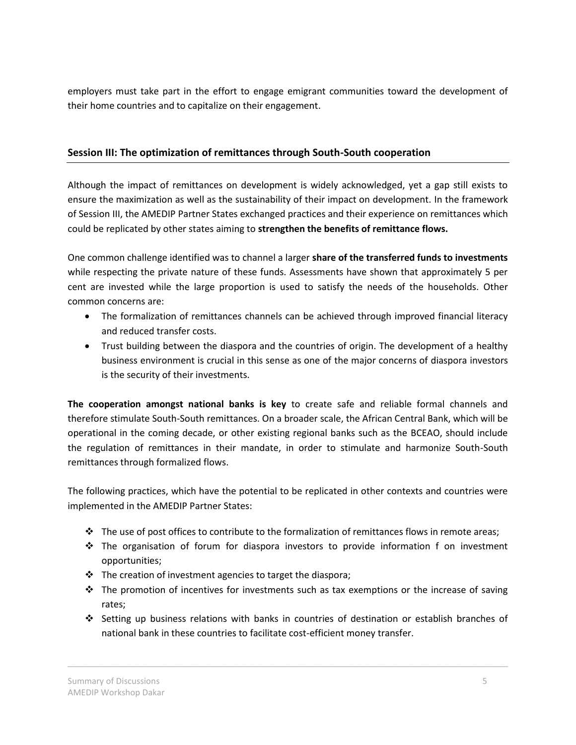employers must take part in the effort to engage emigrant communities toward the development of their home countries and to capitalize on their engagement.

### **Session III: The optimization of remittances through South-South cooperation**

Although the impact of remittances on development is widely acknowledged, yet a gap still exists to ensure the maximization as well as the sustainability of their impact on development. In the framework of Session III, the AMEDIP Partner States exchanged practices and their experience on remittances which could be replicated by other states aiming to **strengthen the benefits of remittance flows.** 

One common challenge identified was to channel a larger **share of the transferred funds to investments** while respecting the private nature of these funds. Assessments have shown that approximately 5 per cent are invested while the large proportion is used to satisfy the needs of the households. Other common concerns are:

- The formalization of remittances channels can be achieved through improved financial literacy and reduced transfer costs.
- Trust building between the diaspora and the countries of origin. The development of a healthy business environment is crucial in this sense as one of the major concerns of diaspora investors is the security of their investments.

**The cooperation amongst national banks is key** to create safe and reliable formal channels and therefore stimulate South-South remittances. On a broader scale, the African Central Bank, which will be operational in the coming decade, or other existing regional banks such as the BCEAO, should include the regulation of remittances in their mandate, in order to stimulate and harmonize South-South remittances through formalized flows.

The following practices, which have the potential to be replicated in other contexts and countries were implemented in the AMEDIP Partner States:

- $\div$  The use of post offices to contribute to the formalization of remittances flows in remote areas;
- $\div$  The organisation of forum for diaspora investors to provide information f on investment opportunities;
- $\cdot \cdot$  The creation of investment agencies to target the diaspora;
- $\cdot \cdot$  The promotion of incentives for investments such as tax exemptions or the increase of saving rates;
- Setting up business relations with banks in countries of destination or establish branches of national bank in these countries to facilitate cost-efficient money transfer.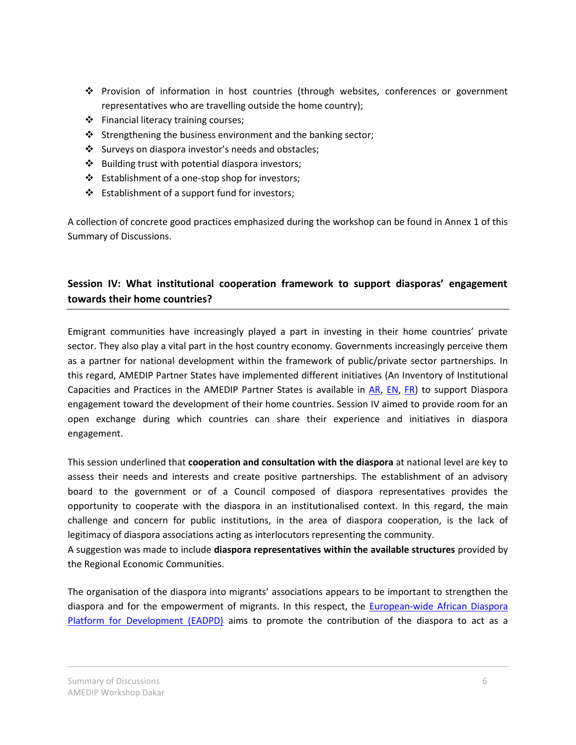- Provision of information in host countries (through websites, conferences or government representatives who are travelling outside the home country);
- $\div$  Financial literacy training courses;
- $\cdot$  Strengthening the business environment and the banking sector;
- Surveys on diaspora investor's needs and obstacles;
- ❖ Building trust with potential diaspora investors;
- $\triangleleft$  Establishment of a one-stop shop for investors;
- Establishment of a support fund for investors;

A collection of concrete good practices emphasized during the workshop can be found in Annex 1 of this Summary of Discussions.

## **Session IV: What institutional cooperation framework to support diasporas' engagement towards their home countries?**

Emigrant communities have increasingly played a part in investing in their home countries' private sector. They also play a vital part in the host country economy. Governments increasingly perceive them as a partner for national development within the framework of public/private sector partnerships. In this regard, AMEDIP Partner States have implemented different initiatives (An Inventory of Institutional Capacities and Practices in the AMEDIP Partner States is available in [AR,](http://www.icmpd.org/fileadmin/ICMPD-Website/ICMPD-Website_2011/Migration_Dialogues/MTM/projects/Inventory_AR_2010.pdf) [EN,](http://www.icmpd.org/fileadmin/ICMPD-Website/ICMPD-Website_2011/Migration_Dialogues/MTM/projects/Inventory_EN_2010.pdf) [FR\)](http://www.icmpd.org/fileadmin/ICMPD-Website/ICMPD-Website_2011/Migration_Dialogues/MTM/projects/Inventory_FR_2010.pdf) to support Diaspora engagement toward the development of their home countries. Session IV aimed to provide room for an open exchange during which countries can share their experience and initiatives in diaspora engagement.

This session underlined that **cooperation and consultation with the diaspora** at national level are key to assess their needs and interests and create positive partnerships. The establishment of an advisory board to the government or of a Council composed of diaspora representatives provides the opportunity to cooperate with the diaspora in an institutionalised context. In this regard, the main challenge and concern for public institutions, in the area of diaspora cooperation, is the lack of legitimacy of diaspora associations acting as interlocutors representing the community.

A suggestion was made to include **diaspora representatives within the available structures** provided by the Regional Economic Communities.

The organisation of the diaspora into migrants' associations appears to be important to strengthen the diaspora and for the empowerment of migrants. In this respect, the [European-wide African Diaspora](http://www.ae-platform.org/modules/home/home.php)  [Platform for Development \(EADPD\)](http://www.ae-platform.org/modules/home/home.php) aims to promote the contribution of the diaspora to act as a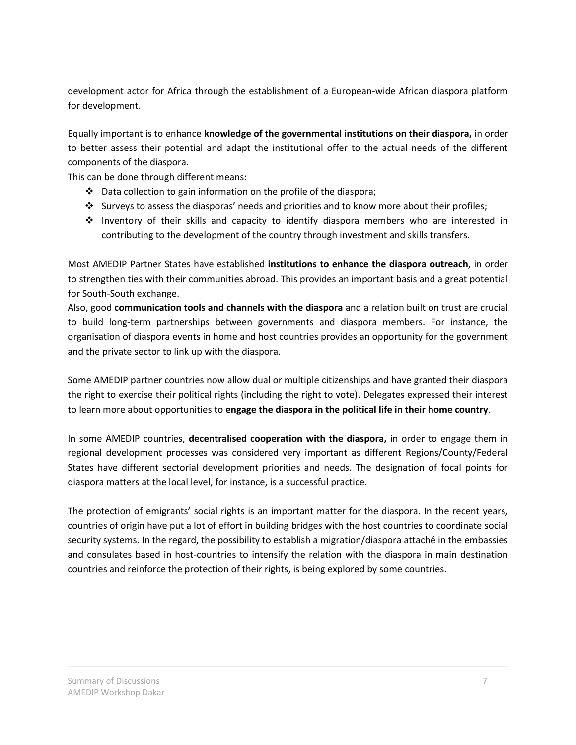development actor for Africa through the establishment of a European-wide African diaspora platform for development.

Equally important is to enhance **knowledge of the governmental institutions on their diaspora,** in order to better assess their potential and adapt the institutional offer to the actual needs of the different components of the diaspora.

This can be done through different means:

- $\cdot \cdot$  Data collection to gain information on the profile of the diaspora;
- $\cdot$  Surveys to assess the diasporas' needs and priorities and to know more about their profiles;
- $\div$  Inventory of their skills and capacity to identify diaspora members who are interested in contributing to the development of the country through investment and skills transfers.

Most AMEDIP Partner States have established **institutions to enhance the diaspora outreach**, in order to strengthen ties with their communities abroad. This provides an important basis and a great potential for South-South exchange.

Also, good **communication tools and channels with the diaspora** and a relation built on trust are crucial to build long-term partnerships between governments and diaspora members. For instance, the organisation of diaspora events in home and host countries provides an opportunity for the government and the private sector to link up with the diaspora.

Some AMEDIP partner countries now allow dual or multiple citizenships and have granted their diaspora the right to exercise their political rights (including the right to vote). Delegates expressed their interest to learn more about opportunities to **engage the diaspora in the political life in their home country**.

In some AMEDIP countries, **decentralised cooperation with the diaspora,** in order to engage them in regional development processes was considered very important as different Regions/County/Federal States have different sectorial development priorities and needs. The designation of focal points for diaspora matters at the local level, for instance, is a successful practice.

The protection of emigrants' social rights is an important matter for the diaspora. In the recent years, countries of origin have put a lot of effort in building bridges with the host countries to coordinate social security systems. In the regard, the possibility to establish a migration/diaspora attaché in the embassies and consulates based in host-countries to intensify the relation with the diaspora in main destination countries and reinforce the protection of their rights, is being explored by some countries.